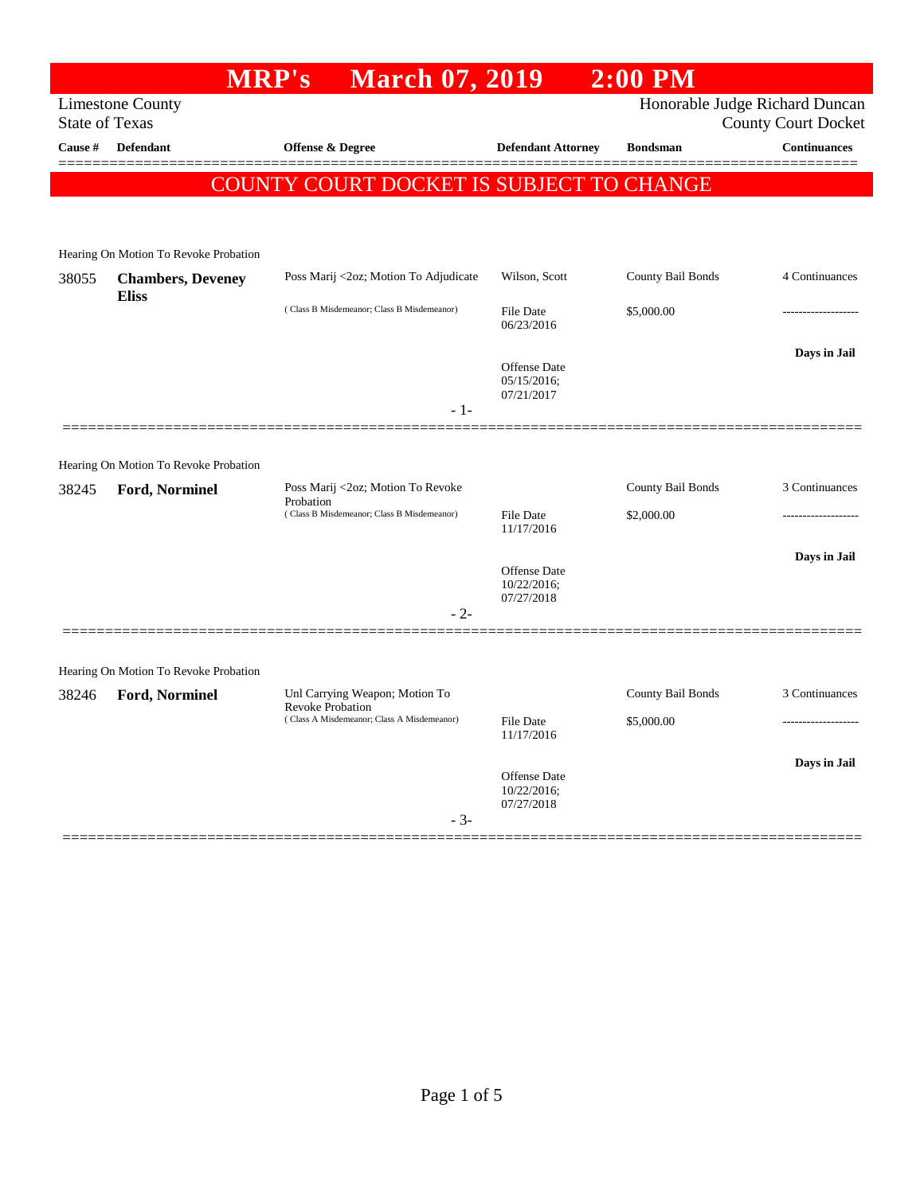| <b>Limestone County</b><br>Honorable Judge Richard Duncan<br><b>State of Texas</b><br><b>County Court Docket</b><br><b>Continuances</b><br>Cause #<br><b>Defendant</b><br><b>Offense &amp; Degree</b><br><b>Defendant Attorney</b><br><b>Bondsman</b><br>COUNTY COURT DOCKET IS SUBJECT TO CHANGE<br>Hearing On Motion To Revoke Probation<br>Wilson, Scott<br>County Bail Bonds<br>4 Continuances<br>Poss Marij <2oz; Motion To Adjudicate<br>38055<br><b>Chambers</b> , Deveney<br><b>Eliss</b><br>(Class B Misdemeanor; Class B Misdemeanor)<br>\$5,000.00<br>File Date<br>06/23/2016<br>Days in Jail<br>Offense Date<br>05/15/2016;<br>07/21/2017<br>- 1-<br>Hearing On Motion To Revoke Probation<br>County Bail Bonds<br>3 Continuances<br>Poss Marij <2oz; Motion To Revoke<br>38245<br>Ford, Norminel<br>Probation<br>(Class B Misdemeanor; Class B Misdemeanor)<br>\$2,000.00<br><b>File Date</b><br>11/17/2016<br>Days in Jail<br><b>Offense</b> Date<br>10/22/2016;<br>07/27/2018<br>$-2-$<br>Hearing On Motion To Revoke Probation<br>County Bail Bonds<br>3 Continuances<br>Unl Carrying Weapon; Motion To<br>38246<br>Ford, Norminel<br><b>Revoke Probation</b><br>(Class A Misdemeanor; Class A Misdemeanor)<br>File Date<br>\$5,000.00<br>11/17/2016<br>Days in Jail<br><b>Offense</b> Date<br>10/22/2016;<br>07/27/2018<br>$-3-$ |  | MRP's | <b>March 07, 2019</b> |  | $2:00$ PM |  |  |  |
|---------------------------------------------------------------------------------------------------------------------------------------------------------------------------------------------------------------------------------------------------------------------------------------------------------------------------------------------------------------------------------------------------------------------------------------------------------------------------------------------------------------------------------------------------------------------------------------------------------------------------------------------------------------------------------------------------------------------------------------------------------------------------------------------------------------------------------------------------------------------------------------------------------------------------------------------------------------------------------------------------------------------------------------------------------------------------------------------------------------------------------------------------------------------------------------------------------------------------------------------------------------------------------------------------------------------------------------------------|--|-------|-----------------------|--|-----------|--|--|--|
|                                                                                                                                                                                                                                                                                                                                                                                                                                                                                                                                                                                                                                                                                                                                                                                                                                                                                                                                                                                                                                                                                                                                                                                                                                                                                                                                                   |  |       |                       |  |           |  |  |  |
|                                                                                                                                                                                                                                                                                                                                                                                                                                                                                                                                                                                                                                                                                                                                                                                                                                                                                                                                                                                                                                                                                                                                                                                                                                                                                                                                                   |  |       |                       |  |           |  |  |  |
|                                                                                                                                                                                                                                                                                                                                                                                                                                                                                                                                                                                                                                                                                                                                                                                                                                                                                                                                                                                                                                                                                                                                                                                                                                                                                                                                                   |  |       |                       |  |           |  |  |  |
|                                                                                                                                                                                                                                                                                                                                                                                                                                                                                                                                                                                                                                                                                                                                                                                                                                                                                                                                                                                                                                                                                                                                                                                                                                                                                                                                                   |  |       |                       |  |           |  |  |  |
|                                                                                                                                                                                                                                                                                                                                                                                                                                                                                                                                                                                                                                                                                                                                                                                                                                                                                                                                                                                                                                                                                                                                                                                                                                                                                                                                                   |  |       |                       |  |           |  |  |  |
|                                                                                                                                                                                                                                                                                                                                                                                                                                                                                                                                                                                                                                                                                                                                                                                                                                                                                                                                                                                                                                                                                                                                                                                                                                                                                                                                                   |  |       |                       |  |           |  |  |  |
|                                                                                                                                                                                                                                                                                                                                                                                                                                                                                                                                                                                                                                                                                                                                                                                                                                                                                                                                                                                                                                                                                                                                                                                                                                                                                                                                                   |  |       |                       |  |           |  |  |  |
|                                                                                                                                                                                                                                                                                                                                                                                                                                                                                                                                                                                                                                                                                                                                                                                                                                                                                                                                                                                                                                                                                                                                                                                                                                                                                                                                                   |  |       |                       |  |           |  |  |  |
|                                                                                                                                                                                                                                                                                                                                                                                                                                                                                                                                                                                                                                                                                                                                                                                                                                                                                                                                                                                                                                                                                                                                                                                                                                                                                                                                                   |  |       |                       |  |           |  |  |  |
|                                                                                                                                                                                                                                                                                                                                                                                                                                                                                                                                                                                                                                                                                                                                                                                                                                                                                                                                                                                                                                                                                                                                                                                                                                                                                                                                                   |  |       |                       |  |           |  |  |  |
|                                                                                                                                                                                                                                                                                                                                                                                                                                                                                                                                                                                                                                                                                                                                                                                                                                                                                                                                                                                                                                                                                                                                                                                                                                                                                                                                                   |  |       |                       |  |           |  |  |  |
|                                                                                                                                                                                                                                                                                                                                                                                                                                                                                                                                                                                                                                                                                                                                                                                                                                                                                                                                                                                                                                                                                                                                                                                                                                                                                                                                                   |  |       |                       |  |           |  |  |  |
|                                                                                                                                                                                                                                                                                                                                                                                                                                                                                                                                                                                                                                                                                                                                                                                                                                                                                                                                                                                                                                                                                                                                                                                                                                                                                                                                                   |  |       |                       |  |           |  |  |  |
|                                                                                                                                                                                                                                                                                                                                                                                                                                                                                                                                                                                                                                                                                                                                                                                                                                                                                                                                                                                                                                                                                                                                                                                                                                                                                                                                                   |  |       |                       |  |           |  |  |  |
|                                                                                                                                                                                                                                                                                                                                                                                                                                                                                                                                                                                                                                                                                                                                                                                                                                                                                                                                                                                                                                                                                                                                                                                                                                                                                                                                                   |  |       |                       |  |           |  |  |  |
|                                                                                                                                                                                                                                                                                                                                                                                                                                                                                                                                                                                                                                                                                                                                                                                                                                                                                                                                                                                                                                                                                                                                                                                                                                                                                                                                                   |  |       |                       |  |           |  |  |  |
|                                                                                                                                                                                                                                                                                                                                                                                                                                                                                                                                                                                                                                                                                                                                                                                                                                                                                                                                                                                                                                                                                                                                                                                                                                                                                                                                                   |  |       |                       |  |           |  |  |  |
|                                                                                                                                                                                                                                                                                                                                                                                                                                                                                                                                                                                                                                                                                                                                                                                                                                                                                                                                                                                                                                                                                                                                                                                                                                                                                                                                                   |  |       |                       |  |           |  |  |  |
|                                                                                                                                                                                                                                                                                                                                                                                                                                                                                                                                                                                                                                                                                                                                                                                                                                                                                                                                                                                                                                                                                                                                                                                                                                                                                                                                                   |  |       |                       |  |           |  |  |  |
|                                                                                                                                                                                                                                                                                                                                                                                                                                                                                                                                                                                                                                                                                                                                                                                                                                                                                                                                                                                                                                                                                                                                                                                                                                                                                                                                                   |  |       |                       |  |           |  |  |  |
|                                                                                                                                                                                                                                                                                                                                                                                                                                                                                                                                                                                                                                                                                                                                                                                                                                                                                                                                                                                                                                                                                                                                                                                                                                                                                                                                                   |  |       |                       |  |           |  |  |  |
|                                                                                                                                                                                                                                                                                                                                                                                                                                                                                                                                                                                                                                                                                                                                                                                                                                                                                                                                                                                                                                                                                                                                                                                                                                                                                                                                                   |  |       |                       |  |           |  |  |  |
|                                                                                                                                                                                                                                                                                                                                                                                                                                                                                                                                                                                                                                                                                                                                                                                                                                                                                                                                                                                                                                                                                                                                                                                                                                                                                                                                                   |  |       |                       |  |           |  |  |  |
|                                                                                                                                                                                                                                                                                                                                                                                                                                                                                                                                                                                                                                                                                                                                                                                                                                                                                                                                                                                                                                                                                                                                                                                                                                                                                                                                                   |  |       |                       |  |           |  |  |  |
|                                                                                                                                                                                                                                                                                                                                                                                                                                                                                                                                                                                                                                                                                                                                                                                                                                                                                                                                                                                                                                                                                                                                                                                                                                                                                                                                                   |  |       |                       |  |           |  |  |  |
|                                                                                                                                                                                                                                                                                                                                                                                                                                                                                                                                                                                                                                                                                                                                                                                                                                                                                                                                                                                                                                                                                                                                                                                                                                                                                                                                                   |  |       |                       |  |           |  |  |  |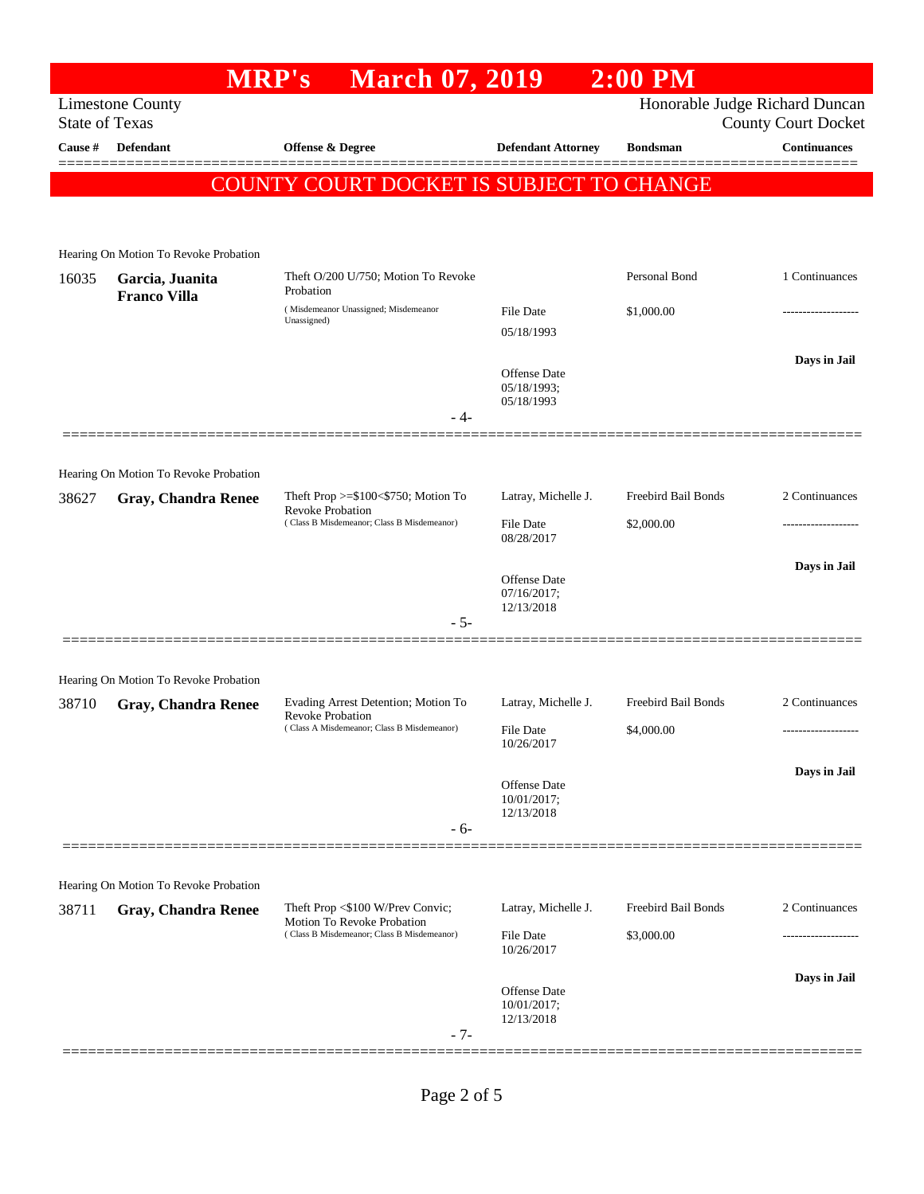|                       |                                                                     | <b>March 07, 2019</b><br><b>MRP's</b>                                                                        |                                           | $2:00$ PM                         |                                                              |
|-----------------------|---------------------------------------------------------------------|--------------------------------------------------------------------------------------------------------------|-------------------------------------------|-----------------------------------|--------------------------------------------------------------|
| <b>State of Texas</b> | <b>Limestone County</b>                                             |                                                                                                              |                                           |                                   | Honorable Judge Richard Duncan<br><b>County Court Docket</b> |
| Cause #               | Defendant                                                           | Offense & Degree                                                                                             | <b>Defendant Attorney</b>                 | <b>Bondsman</b>                   | <b>Continuances</b>                                          |
|                       |                                                                     | COUNTY COURT DOCKET IS SUBJECT TO CHANGE                                                                     |                                           |                                   | =======                                                      |
|                       |                                                                     |                                                                                                              |                                           |                                   |                                                              |
|                       | Hearing On Motion To Revoke Probation                               |                                                                                                              |                                           |                                   |                                                              |
| 16035                 | Garcia, Juanita<br><b>Franco Villa</b>                              | Theft O/200 U/750; Motion To Revoke<br>Probation                                                             |                                           | Personal Bond                     | 1 Continuances                                               |
|                       |                                                                     | (Misdemeanor Unassigned; Misdemeanor<br>Unassigned)                                                          | <b>File Date</b><br>05/18/1993            | \$1,000.00                        | .                                                            |
|                       |                                                                     |                                                                                                              |                                           |                                   | Days in Jail                                                 |
|                       |                                                                     |                                                                                                              | Offense Date<br>05/18/1993;<br>05/18/1993 |                                   |                                                              |
|                       |                                                                     | - 4-                                                                                                         |                                           |                                   |                                                              |
|                       |                                                                     |                                                                                                              |                                           |                                   |                                                              |
| 38627                 | Hearing On Motion To Revoke Probation<br><b>Gray, Chandra Renee</b> | Theft Prop $>=\$100<\$750$ ; Motion To                                                                       | Latray, Michelle J.                       | Freebird Bail Bonds               | 2 Continuances                                               |
|                       |                                                                     | <b>Revoke Probation</b><br>(Class B Misdemeanor; Class B Misdemeanor)                                        | <b>File Date</b><br>08/28/2017            | \$2,000.00                        |                                                              |
|                       |                                                                     |                                                                                                              |                                           |                                   | Days in Jail                                                 |
|                       |                                                                     |                                                                                                              | Offense Date<br>07/16/2017;<br>12/13/2018 |                                   |                                                              |
|                       |                                                                     | $-5-$                                                                                                        |                                           |                                   |                                                              |
|                       |                                                                     |                                                                                                              |                                           |                                   |                                                              |
| 38710                 | Hearing On Motion To Revoke Probation<br><b>Gray, Chandra Renee</b> | Evading Arrest Detention; Motion To                                                                          | Latray, Michelle J.                       | Freebird Bail Bonds               | 2 Continuances                                               |
|                       |                                                                     | Revoke Probation<br>(Class A Misdemeanor; Class B Misdemeanor)                                               | File Date                                 | \$4,000.00                        |                                                              |
|                       |                                                                     |                                                                                                              | 10/26/2017                                |                                   |                                                              |
|                       |                                                                     |                                                                                                              | Offense Date<br>10/01/2017;<br>12/13/2018 |                                   | Days in Jail                                                 |
|                       |                                                                     | $-6-$                                                                                                        |                                           |                                   |                                                              |
|                       |                                                                     |                                                                                                              |                                           |                                   |                                                              |
|                       | Hearing On Motion To Revoke Probation                               |                                                                                                              |                                           |                                   |                                                              |
| 38711                 | <b>Gray, Chandra Renee</b>                                          | Theft Prop <\$100 W/Prev Convic;<br>Motion To Revoke Probation<br>(Class B Misdemeanor; Class B Misdemeanor) | Latray, Michelle J.<br><b>File Date</b>   | Freebird Bail Bonds<br>\$3,000.00 | 2 Continuances<br>----------------                           |
|                       |                                                                     |                                                                                                              | 10/26/2017                                |                                   |                                                              |
|                       |                                                                     |                                                                                                              | Offense Date                              |                                   | Days in Jail                                                 |
|                       |                                                                     | $-7-$                                                                                                        | 10/01/2017;<br>12/13/2018                 |                                   |                                                              |
|                       |                                                                     |                                                                                                              |                                           |                                   |                                                              |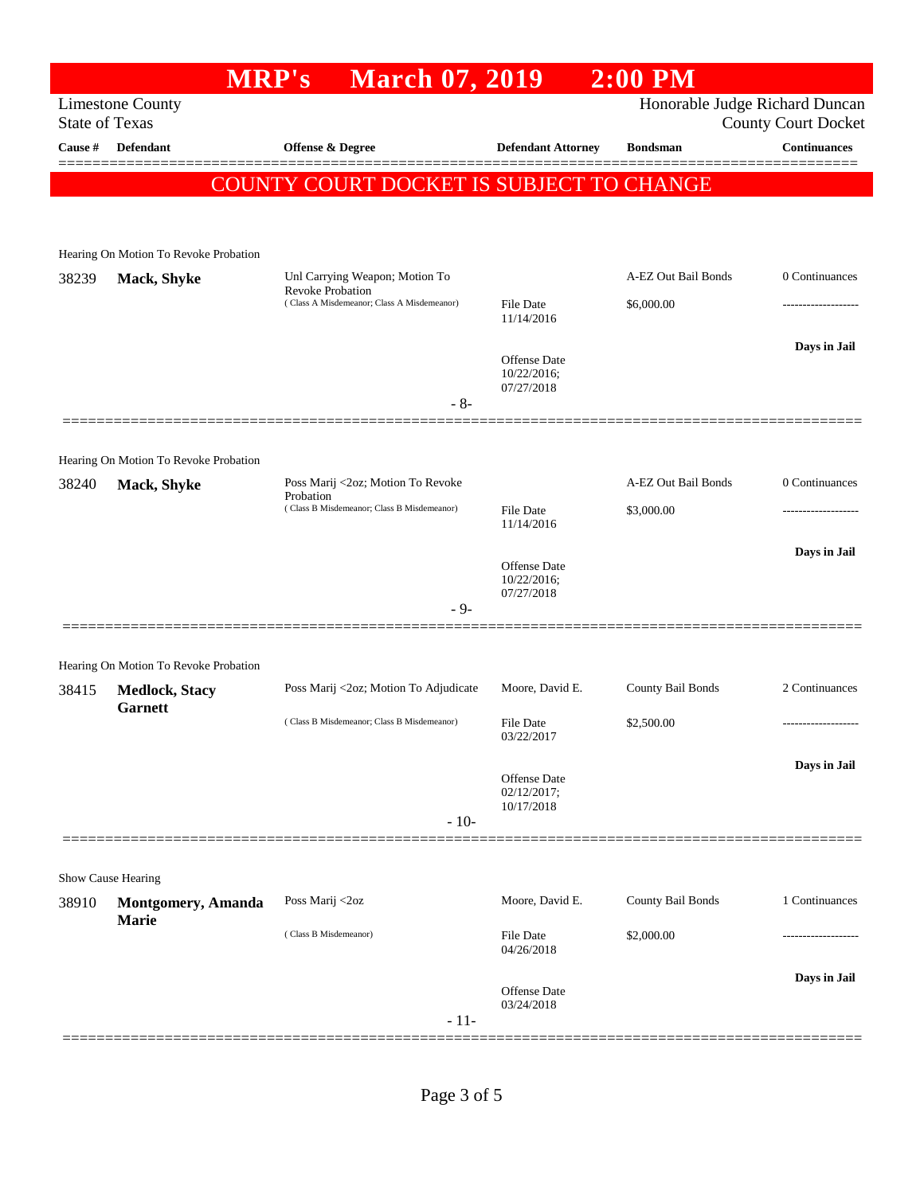|         |                                                      | <b>MRP's</b>                | <b>March 07, 2019</b>                                                 |                                           | $2:00$ PM                      |                            |
|---------|------------------------------------------------------|-----------------------------|-----------------------------------------------------------------------|-------------------------------------------|--------------------------------|----------------------------|
|         | <b>Limestone County</b><br><b>State of Texas</b>     |                             |                                                                       |                                           | Honorable Judge Richard Duncan | <b>County Court Docket</b> |
| Cause # | <b>Defendant</b>                                     | <b>Offense &amp; Degree</b> |                                                                       | <b>Defendant Attorney</b>                 | <b>Bondsman</b>                | <b>Continuances</b>        |
|         |                                                      |                             | COUNTY COURT DOCKET IS SUBJECT TO CHANGE                              |                                           |                                |                            |
|         |                                                      |                             |                                                                       |                                           |                                |                            |
|         |                                                      |                             |                                                                       |                                           |                                |                            |
| 38239   | Hearing On Motion To Revoke Probation<br>Mack, Shyke |                             | Unl Carrying Weapon; Motion To                                        |                                           | A-EZ Out Bail Bonds            | 0 Continuances             |
|         |                                                      |                             | <b>Revoke Probation</b><br>(Class A Misdemeanor; Class A Misdemeanor) | <b>File Date</b><br>11/14/2016            | \$6,000.00                     |                            |
|         |                                                      |                             |                                                                       |                                           |                                | Days in Jail               |
|         |                                                      |                             |                                                                       | Offense Date<br>10/22/2016;<br>07/27/2018 |                                |                            |
|         |                                                      |                             | $-8-$                                                                 |                                           |                                |                            |
|         | Hearing On Motion To Revoke Probation                |                             |                                                                       |                                           |                                |                            |
| 38240   | Mack, Shyke                                          | Probation                   | Poss Marij <2oz; Motion To Revoke                                     |                                           | A-EZ Out Bail Bonds            | 0 Continuances             |
|         |                                                      |                             | (Class B Misdemeanor; Class B Misdemeanor)                            | File Date<br>11/14/2016                   | \$3,000.00                     |                            |
|         |                                                      |                             |                                                                       | Offense Date<br>10/22/2016;               |                                | Days in Jail               |
|         |                                                      |                             | $-9-$                                                                 | 07/27/2018                                |                                |                            |
|         |                                                      |                             |                                                                       |                                           |                                |                            |
|         | Hearing On Motion To Revoke Probation                |                             |                                                                       |                                           |                                |                            |
| 38415   | <b>Medlock, Stacy</b>                                |                             | Poss Marij <2oz; Motion To Adjudicate                                 | Moore, David E.                           | County Bail Bonds              | 2 Continuances             |
|         | <b>Garnett</b>                                       |                             | (Class B Misdemeanor; Class B Misdemeanor)                            | File Date<br>03/22/2017                   | \$2,500.00                     | ------------------         |
|         |                                                      |                             |                                                                       | Offense Date<br>02/12/2017;               |                                | Days in Jail               |
|         |                                                      |                             | $-10-$                                                                | 10/17/2018                                |                                |                            |
|         |                                                      |                             |                                                                       |                                           |                                |                            |
|         | Show Cause Hearing                                   |                             |                                                                       |                                           |                                |                            |
| 38910   | Montgomery, Amanda<br><b>Marie</b>                   | Poss Marij <2oz             |                                                                       | Moore, David E.                           | County Bail Bonds              | 1 Continuances             |
|         |                                                      | (Class B Misdemeanor)       |                                                                       | File Date<br>04/26/2018                   | \$2,000.00                     |                            |
|         |                                                      |                             |                                                                       |                                           |                                | Days in Jail               |
|         |                                                      |                             | $-11-$                                                                | <b>Offense Date</b><br>03/24/2018         |                                |                            |
|         |                                                      |                             |                                                                       |                                           |                                |                            |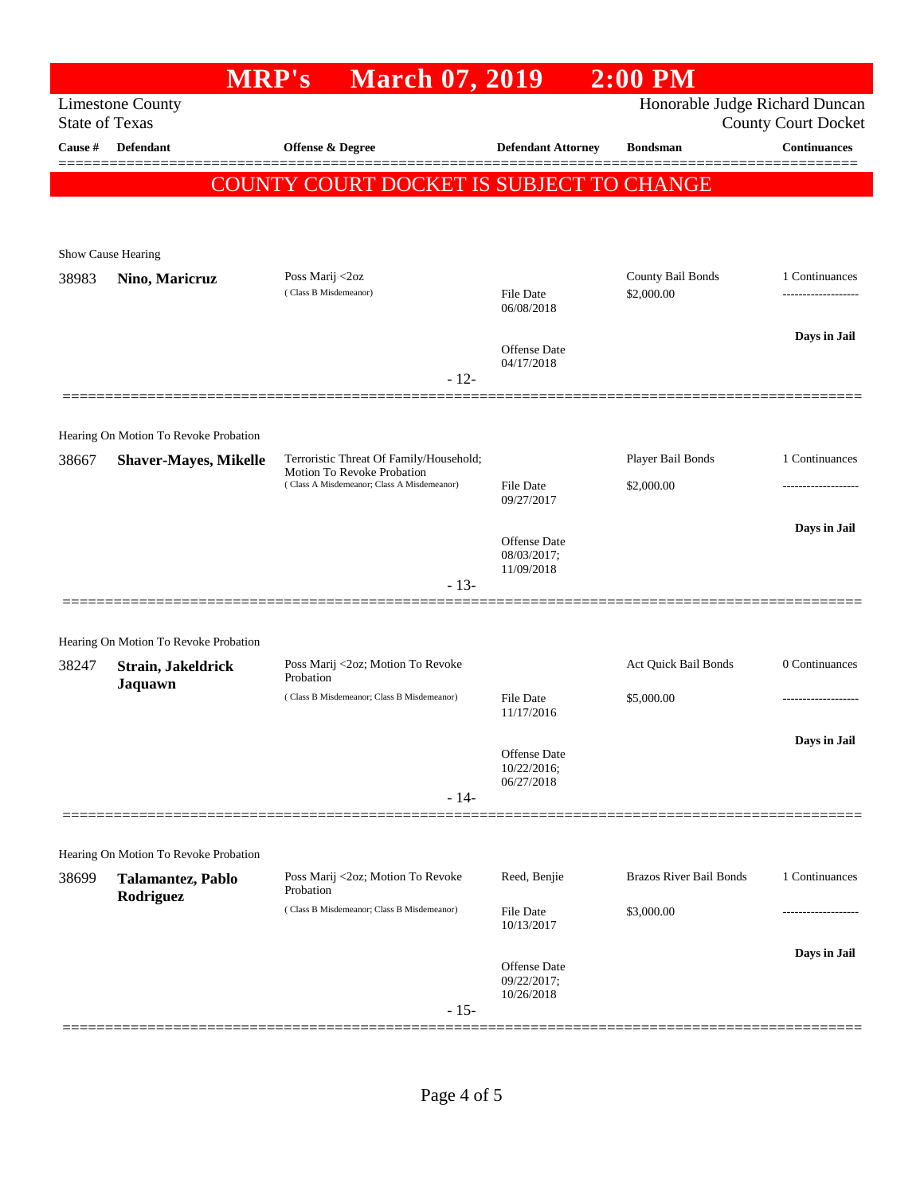|                                  | <b>MRP's</b>                          | <b>March 07, 2019</b>                                                                                               |                                | $2:00$ PM                      |                                                   |
|----------------------------------|---------------------------------------|---------------------------------------------------------------------------------------------------------------------|--------------------------------|--------------------------------|---------------------------------------------------|
|                                  | <b>Limestone County</b>               |                                                                                                                     |                                | Honorable Judge Richard Duncan |                                                   |
| <b>State of Texas</b><br>Cause # | <b>Defendant</b>                      | <b>Offense &amp; Degree</b>                                                                                         | <b>Defendant Attorney</b>      | <b>Bondsman</b>                | <b>County Court Docket</b><br><b>Continuances</b> |
|                                  |                                       |                                                                                                                     |                                |                                |                                                   |
|                                  |                                       | COUNTY COURT DOCKET IS SUBJECT TO CHANGE                                                                            |                                |                                |                                                   |
|                                  |                                       |                                                                                                                     |                                |                                |                                                   |
|                                  | Show Cause Hearing                    |                                                                                                                     |                                |                                |                                                   |
| 38983                            | Nino, Maricruz                        | Poss Marij <2oz                                                                                                     |                                | County Bail Bonds              | 1 Continuances                                    |
|                                  |                                       | (Class B Misdemeanor)                                                                                               | File Date<br>06/08/2018        | \$2,000.00                     | -----------------                                 |
|                                  |                                       |                                                                                                                     |                                |                                | Days in Jail                                      |
|                                  |                                       |                                                                                                                     | Offense Date<br>04/17/2018     |                                |                                                   |
|                                  |                                       | $-12-$                                                                                                              |                                |                                |                                                   |
|                                  |                                       |                                                                                                                     |                                |                                |                                                   |
|                                  | Hearing On Motion To Revoke Probation |                                                                                                                     |                                |                                |                                                   |
| 38667                            | <b>Shaver-Mayes, Mikelle</b>          | Terroristic Threat Of Family/Household;<br>Motion To Revoke Probation<br>(Class A Misdemeanor; Class A Misdemeanor) |                                | Player Bail Bonds              | 1 Continuances                                    |
|                                  |                                       |                                                                                                                     | <b>File Date</b><br>09/27/2017 | \$2,000.00                     |                                                   |
|                                  |                                       |                                                                                                                     |                                |                                | Days in Jail                                      |
|                                  |                                       |                                                                                                                     | Offense Date<br>08/03/2017;    |                                |                                                   |
|                                  |                                       | $-13-$                                                                                                              | 11/09/2018                     |                                |                                                   |
|                                  |                                       |                                                                                                                     |                                |                                |                                                   |
|                                  | Hearing On Motion To Revoke Probation |                                                                                                                     |                                |                                |                                                   |
| 38247                            | Strain, Jakeldrick                    | Poss Marij <2oz; Motion To Revoke                                                                                   |                                | Act Quick Bail Bonds           | 0 Continuances                                    |
|                                  | Jaquawn                               | Probation<br>(Class B Misdemeanor; Class B Misdemeanor)                                                             | <b>File Date</b>               | \$5,000.00                     |                                                   |
|                                  |                                       |                                                                                                                     | 11/17/2016                     |                                |                                                   |
|                                  |                                       |                                                                                                                     | Offense Date                   |                                | Days in Jail                                      |
|                                  |                                       |                                                                                                                     | 10/22/2016;<br>06/27/2018      |                                |                                                   |
|                                  |                                       | $-14-$                                                                                                              |                                |                                |                                                   |
|                                  |                                       |                                                                                                                     |                                |                                |                                                   |
|                                  | Hearing On Motion To Revoke Probation |                                                                                                                     |                                |                                |                                                   |
| 38699                            | Talamantez, Pablo<br>Rodriguez        | Poss Marij <2oz; Motion To Revoke<br>Probation                                                                      | Reed, Benjie                   | <b>Brazos River Bail Bonds</b> | 1 Continuances                                    |
|                                  |                                       | (Class B Misdemeanor; Class B Misdemeanor)                                                                          | <b>File Date</b>               | \$3,000.00                     |                                                   |
|                                  |                                       |                                                                                                                     | 10/13/2017                     |                                |                                                   |
|                                  |                                       |                                                                                                                     | Offense Date                   |                                | Days in Jail                                      |
|                                  |                                       |                                                                                                                     | 09/22/2017;<br>10/26/2018      |                                |                                                   |
|                                  |                                       | $-15-$                                                                                                              |                                |                                |                                                   |